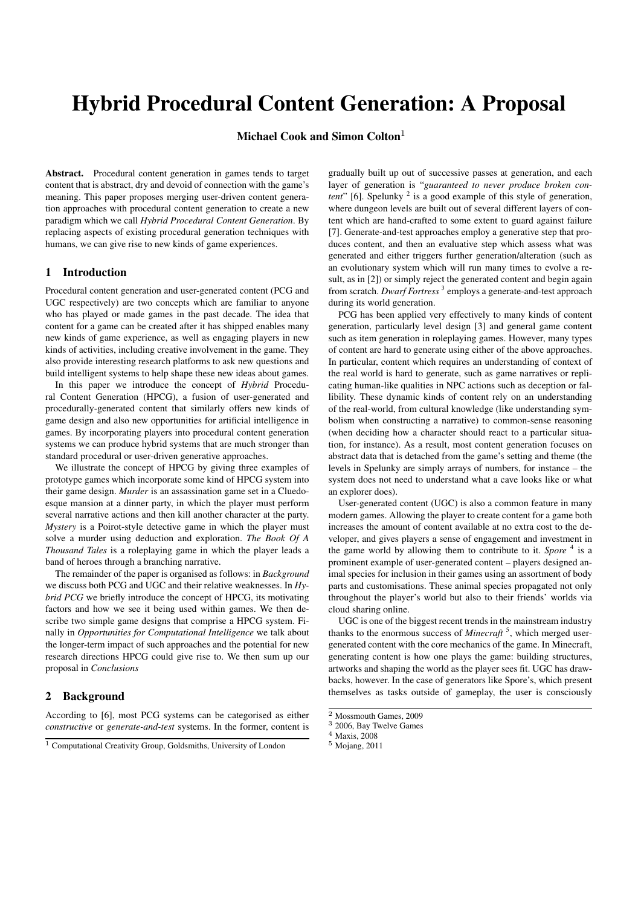# Hybrid Procedural Content Generation: A Proposal

Michael Cook and Simon Colton $^{\rm l}$ 

Abstract. Procedural content generation in games tends to target content that is abstract, dry and devoid of connection with the game's meaning. This paper proposes merging user-driven content generation approaches with procedural content generation to create a new paradigm which we call *Hybrid Procedural Content Generation*. By replacing aspects of existing procedural generation techniques with humans, we can give rise to new kinds of game experiences.

#### 1 Introduction

Procedural content generation and user-generated content (PCG and UGC respectively) are two concepts which are familiar to anyone who has played or made games in the past decade. The idea that content for a game can be created after it has shipped enables many new kinds of game experience, as well as engaging players in new kinds of activities, including creative involvement in the game. They also provide interesting research platforms to ask new questions and build intelligent systems to help shape these new ideas about games.

In this paper we introduce the concept of *Hybrid* Procedural Content Generation (HPCG), a fusion of user-generated and procedurally-generated content that similarly offers new kinds of game design and also new opportunities for artificial intelligence in games. By incorporating players into procedural content generation systems we can produce hybrid systems that are much stronger than standard procedural or user-driven generative approaches.

We illustrate the concept of HPCG by giving three examples of prototype games which incorporate some kind of HPCG system into their game design. *Murder* is an assassination game set in a Cluedoesque mansion at a dinner party, in which the player must perform several narrative actions and then kill another character at the party. *Mystery* is a Poirot-style detective game in which the player must solve a murder using deduction and exploration. *The Book Of A Thousand Tales* is a roleplaying game in which the player leads a band of heroes through a branching narrative.

The remainder of the paper is organised as follows: in *Background* we discuss both PCG and UGC and their relative weaknesses. In *Hybrid PCG* we briefly introduce the concept of HPCG, its motivating factors and how we see it being used within games. We then describe two simple game designs that comprise a HPCG system. Finally in *Opportunities for Computational Intelligence* we talk about the longer-term impact of such approaches and the potential for new research directions HPCG could give rise to. We then sum up our proposal in *Conclusions*

## 2 Background

According to [6], most PCG systems can be categorised as either *constructive* or *generate-and-test* systems. In the former, content is gradually built up out of successive passes at generation, and each layer of generation is "*guaranteed to never produce broken content*" [6]. Spelunky<sup>2</sup> is a good example of this style of generation, where dungeon levels are built out of several different layers of content which are hand-crafted to some extent to guard against failure [7]. Generate-and-test approaches employ a generative step that produces content, and then an evaluative step which assess what was generated and either triggers further generation/alteration (such as an evolutionary system which will run many times to evolve a result, as in [2]) or simply reject the generated content and begin again from scratch. *Dwarf Fortress* <sup>3</sup> employs a generate-and-test approach during its world generation.

PCG has been applied very effectively to many kinds of content generation, particularly level design [3] and general game content such as item generation in roleplaying games. However, many types of content are hard to generate using either of the above approaches. In particular, content which requires an understanding of context of the real world is hard to generate, such as game narratives or replicating human-like qualities in NPC actions such as deception or fallibility. These dynamic kinds of content rely on an understanding of the real-world, from cultural knowledge (like understanding symbolism when constructing a narrative) to common-sense reasoning (when deciding how a character should react to a particular situation, for instance). As a result, most content generation focuses on abstract data that is detached from the game's setting and theme (the levels in Spelunky are simply arrays of numbers, for instance – the system does not need to understand what a cave looks like or what an explorer does).

User-generated content (UGC) is also a common feature in many modern games. Allowing the player to create content for a game both increases the amount of content available at no extra cost to the developer, and gives players a sense of engagement and investment in the game world by allowing them to contribute to it. *Spore* <sup>4</sup> is a prominent example of user-generated content – players designed animal species for inclusion in their games using an assortment of body parts and customisations. These animal species propagated not only throughout the player's world but also to their friends' worlds via cloud sharing online.

UGC is one of the biggest recent trends in the mainstream industry thanks to the enormous success of *Minecraft*<sup>5</sup>, which merged usergenerated content with the core mechanics of the game. In Minecraft, generating content is how one plays the game: building structures, artworks and shaping the world as the player sees fit. UGC has drawbacks, however. In the case of generators like Spore's, which present themselves as tasks outside of gameplay, the user is consciously

<sup>2</sup> Mossmouth Games, 2009

<sup>1</sup> Computational Creativity Group, Goldsmiths, University of London

<sup>3</sup> 2006, Bay Twelve Games

<sup>4</sup> Maxis, 2008

<sup>5</sup> Mojang, 2011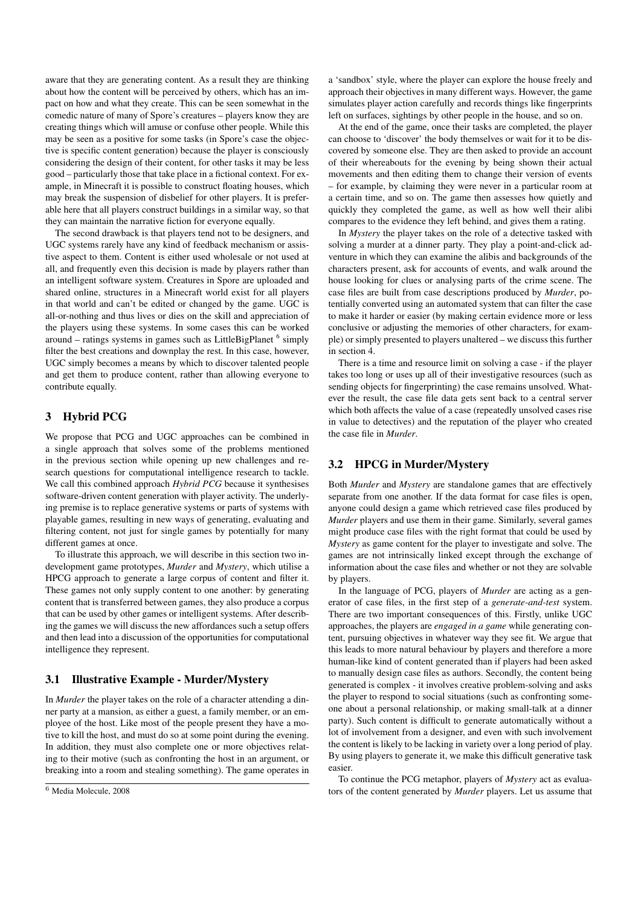aware that they are generating content. As a result they are thinking about how the content will be perceived by others, which has an impact on how and what they create. This can be seen somewhat in the comedic nature of many of Spore's creatures – players know they are creating things which will amuse or confuse other people. While this may be seen as a positive for some tasks (in Spore's case the objective is specific content generation) because the player is consciously considering the design of their content, for other tasks it may be less good – particularly those that take place in a fictional context. For example, in Minecraft it is possible to construct floating houses, which may break the suspension of disbelief for other players. It is preferable here that all players construct buildings in a similar way, so that they can maintain the narrative fiction for everyone equally.

The second drawback is that players tend not to be designers, and UGC systems rarely have any kind of feedback mechanism or assistive aspect to them. Content is either used wholesale or not used at all, and frequently even this decision is made by players rather than an intelligent software system. Creatures in Spore are uploaded and shared online, structures in a Minecraft world exist for all players in that world and can't be edited or changed by the game. UGC is all-or-nothing and thus lives or dies on the skill and appreciation of the players using these systems. In some cases this can be worked around – ratings systems in games such as LittleBigPlanet <sup>6</sup> simply filter the best creations and downplay the rest. In this case, however, UGC simply becomes a means by which to discover talented people and get them to produce content, rather than allowing everyone to contribute equally.

## 3 Hybrid PCG

We propose that PCG and UGC approaches can be combined in a single approach that solves some of the problems mentioned in the previous section while opening up new challenges and research questions for computational intelligence research to tackle. We call this combined approach *Hybrid PCG* because it synthesises software-driven content generation with player activity. The underlying premise is to replace generative systems or parts of systems with playable games, resulting in new ways of generating, evaluating and filtering content, not just for single games by potentially for many different games at once.

To illustrate this approach, we will describe in this section two indevelopment game prototypes, *Murder* and *Mystery*, which utilise a HPCG approach to generate a large corpus of content and filter it. These games not only supply content to one another: by generating content that is transferred between games, they also produce a corpus that can be used by other games or intelligent systems. After describing the games we will discuss the new affordances such a setup offers and then lead into a discussion of the opportunities for computational intelligence they represent.

## 3.1 Illustrative Example - Murder/Mystery

In *Murder* the player takes on the role of a character attending a dinner party at a mansion, as either a guest, a family member, or an employee of the host. Like most of the people present they have a motive to kill the host, and must do so at some point during the evening. In addition, they must also complete one or more objectives relating to their motive (such as confronting the host in an argument, or breaking into a room and stealing something). The game operates in a 'sandbox' style, where the player can explore the house freely and approach their objectives in many different ways. However, the game simulates player action carefully and records things like fingerprints left on surfaces, sightings by other people in the house, and so on.

At the end of the game, once their tasks are completed, the player can choose to 'discover' the body themselves or wait for it to be discovered by someone else. They are then asked to provide an account of their whereabouts for the evening by being shown their actual movements and then editing them to change their version of events – for example, by claiming they were never in a particular room at a certain time, and so on. The game then assesses how quietly and quickly they completed the game, as well as how well their alibi compares to the evidence they left behind, and gives them a rating.

In *Mystery* the player takes on the role of a detective tasked with solving a murder at a dinner party. They play a point-and-click adventure in which they can examine the alibis and backgrounds of the characters present, ask for accounts of events, and walk around the house looking for clues or analysing parts of the crime scene. The case files are built from case descriptions produced by *Murder*, potentially converted using an automated system that can filter the case to make it harder or easier (by making certain evidence more or less conclusive or adjusting the memories of other characters, for example) or simply presented to players unaltered – we discuss this further in section 4.

There is a time and resource limit on solving a case - if the player takes too long or uses up all of their investigative resources (such as sending objects for fingerprinting) the case remains unsolved. Whatever the result, the case file data gets sent back to a central server which both affects the value of a case (repeatedly unsolved cases rise in value to detectives) and the reputation of the player who created the case file in *Murder*.

## 3.2 HPCG in Murder/Mystery

Both *Murder* and *Mystery* are standalone games that are effectively separate from one another. If the data format for case files is open, anyone could design a game which retrieved case files produced by *Murder* players and use them in their game. Similarly, several games might produce case files with the right format that could be used by *Mystery* as game content for the player to investigate and solve. The games are not intrinsically linked except through the exchange of information about the case files and whether or not they are solvable by players.

In the language of PCG, players of *Murder* are acting as a generator of case files, in the first step of a *generate-and-test* system. There are two important consequences of this. Firstly, unlike UGC approaches, the players are *engaged in a game* while generating content, pursuing objectives in whatever way they see fit. We argue that this leads to more natural behaviour by players and therefore a more human-like kind of content generated than if players had been asked to manually design case files as authors. Secondly, the content being generated is complex - it involves creative problem-solving and asks the player to respond to social situations (such as confronting someone about a personal relationship, or making small-talk at a dinner party). Such content is difficult to generate automatically without a lot of involvement from a designer, and even with such involvement the content is likely to be lacking in variety over a long period of play. By using players to generate it, we make this difficult generative task easier.

To continue the PCG metaphor, players of *Mystery* act as evaluators of the content generated by *Murder* players. Let us assume that

<sup>6</sup> Media Molecule, 2008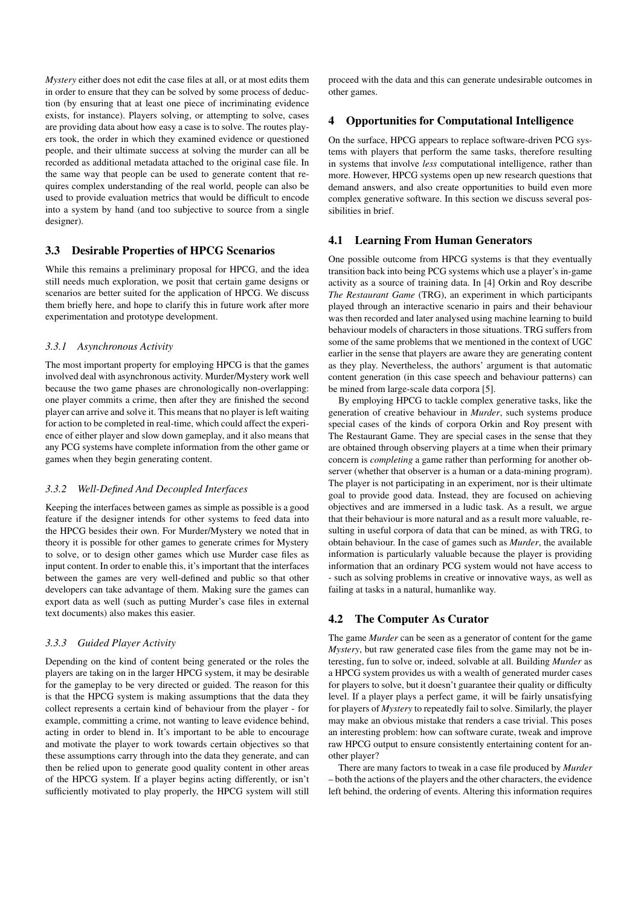*Mystery* either does not edit the case files at all, or at most edits them in order to ensure that they can be solved by some process of deduction (by ensuring that at least one piece of incriminating evidence exists, for instance). Players solving, or attempting to solve, cases are providing data about how easy a case is to solve. The routes players took, the order in which they examined evidence or questioned people, and their ultimate success at solving the murder can all be recorded as additional metadata attached to the original case file. In the same way that people can be used to generate content that requires complex understanding of the real world, people can also be used to provide evaluation metrics that would be difficult to encode into a system by hand (and too subjective to source from a single designer).

## 3.3 Desirable Properties of HPCG Scenarios

While this remains a preliminary proposal for HPCG, and the idea still needs much exploration, we posit that certain game designs or scenarios are better suited for the application of HPCG. We discuss them briefly here, and hope to clarify this in future work after more experimentation and prototype development.

#### *3.3.1 Asynchronous Activity*

The most important property for employing HPCG is that the games involved deal with asynchronous activity. Murder/Mystery work well because the two game phases are chronologically non-overlapping: one player commits a crime, then after they are finished the second player can arrive and solve it. This means that no player is left waiting for action to be completed in real-time, which could affect the experience of either player and slow down gameplay, and it also means that any PCG systems have complete information from the other game or games when they begin generating content.

#### *3.3.2 Well-Defined And Decoupled Interfaces*

Keeping the interfaces between games as simple as possible is a good feature if the designer intends for other systems to feed data into the HPCG besides their own. For Murder/Mystery we noted that in theory it is possible for other games to generate crimes for Mystery to solve, or to design other games which use Murder case files as input content. In order to enable this, it's important that the interfaces between the games are very well-defined and public so that other developers can take advantage of them. Making sure the games can export data as well (such as putting Murder's case files in external text documents) also makes this easier.

#### *3.3.3 Guided Player Activity*

Depending on the kind of content being generated or the roles the players are taking on in the larger HPCG system, it may be desirable for the gameplay to be very directed or guided. The reason for this is that the HPCG system is making assumptions that the data they collect represents a certain kind of behaviour from the player - for example, committing a crime, not wanting to leave evidence behind, acting in order to blend in. It's important to be able to encourage and motivate the player to work towards certain objectives so that these assumptions carry through into the data they generate, and can then be relied upon to generate good quality content in other areas of the HPCG system. If a player begins acting differently, or isn't sufficiently motivated to play properly, the HPCG system will still

proceed with the data and this can generate undesirable outcomes in other games.

## 4 Opportunities for Computational Intelligence

On the surface, HPCG appears to replace software-driven PCG systems with players that perform the same tasks, therefore resulting in systems that involve *less* computational intelligence, rather than more. However, HPCG systems open up new research questions that demand answers, and also create opportunities to build even more complex generative software. In this section we discuss several possibilities in brief.

#### 4.1 Learning From Human Generators

One possible outcome from HPCG systems is that they eventually transition back into being PCG systems which use a player's in-game activity as a source of training data. In [4] Orkin and Roy describe *The Restaurant Game* (TRG), an experiment in which participants played through an interactive scenario in pairs and their behaviour was then recorded and later analysed using machine learning to build behaviour models of characters in those situations. TRG suffers from some of the same problems that we mentioned in the context of UGC earlier in the sense that players are aware they are generating content as they play. Nevertheless, the authors' argument is that automatic content generation (in this case speech and behaviour patterns) can be mined from large-scale data corpora [5].

By employing HPCG to tackle complex generative tasks, like the generation of creative behaviour in *Murder*, such systems produce special cases of the kinds of corpora Orkin and Roy present with The Restaurant Game. They are special cases in the sense that they are obtained through observing players at a time when their primary concern is *completing* a game rather than performing for another observer (whether that observer is a human or a data-mining program). The player is not participating in an experiment, nor is their ultimate goal to provide good data. Instead, they are focused on achieving objectives and are immersed in a ludic task. As a result, we argue that their behaviour is more natural and as a result more valuable, resulting in useful corpora of data that can be mined, as with TRG, to obtain behaviour. In the case of games such as *Murder*, the available information is particularly valuable because the player is providing information that an ordinary PCG system would not have access to - such as solving problems in creative or innovative ways, as well as failing at tasks in a natural, humanlike way.

#### 4.2 The Computer As Curator

The game *Murder* can be seen as a generator of content for the game *Mystery*, but raw generated case files from the game may not be interesting, fun to solve or, indeed, solvable at all. Building *Murder* as a HPCG system provides us with a wealth of generated murder cases for players to solve, but it doesn't guarantee their quality or difficulty level. If a player plays a perfect game, it will be fairly unsatisfying for players of *Mystery* to repeatedly fail to solve. Similarly, the player may make an obvious mistake that renders a case trivial. This poses an interesting problem: how can software curate, tweak and improve raw HPCG output to ensure consistently entertaining content for another player?

There are many factors to tweak in a case file produced by *Murder* – both the actions of the players and the other characters, the evidence left behind, the ordering of events. Altering this information requires